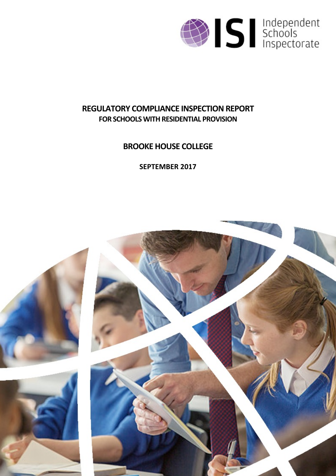

# **REGULATORY COMPLIANCE INSPECTION REPORT FOR SCHOOLS WITH RESIDENTIAL PROVISION**

**BROOKE HOUSE COLLEGE**

**SEPTEMBER 2017**

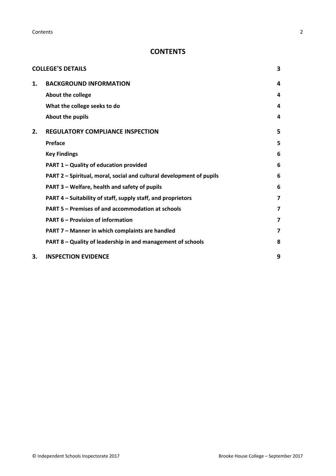**Contents** 2

## **CONTENTS**

|    | <b>COLLEGE'S DETAILS</b>                                             | 3              |
|----|----------------------------------------------------------------------|----------------|
| 1. | <b>BACKGROUND INFORMATION</b>                                        | 4              |
|    | About the college                                                    | 4              |
|    | What the college seeks to do                                         | 4              |
|    | About the pupils                                                     | 4              |
| 2. | <b>REGULATORY COMPLIANCE INSPECTION</b>                              | 5              |
|    | Preface                                                              | 5              |
|    | <b>Key Findings</b>                                                  | 6              |
|    | PART 1 - Quality of education provided                               | 6              |
|    | PART 2 - Spiritual, moral, social and cultural development of pupils | 6              |
|    | PART 3 - Welfare, health and safety of pupils                        | 6              |
|    | PART 4 – Suitability of staff, supply staff, and proprietors         | 7              |
|    | PART 5 – Premises of and accommodation at schools                    | $\overline{7}$ |
|    | <b>PART 6 - Provision of information</b>                             | 7              |
|    | PART 7 - Manner in which complaints are handled                      | 7              |
|    | PART 8 - Quality of leadership in and management of schools          | 8              |
| 3. | <b>INSPECTION EVIDENCE</b>                                           | 9              |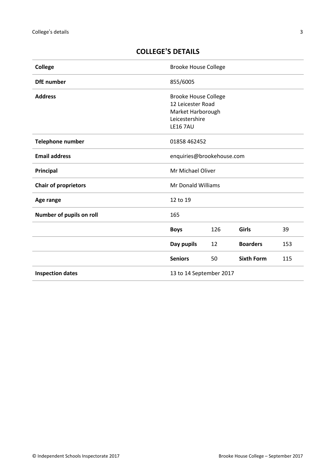| <b>College</b>              | <b>Brooke House College</b>                                                                                |     |                   |     |
|-----------------------------|------------------------------------------------------------------------------------------------------------|-----|-------------------|-----|
| <b>DfE</b> number           | 855/6005                                                                                                   |     |                   |     |
| <b>Address</b>              | <b>Brooke House College</b><br>12 Leicester Road<br>Market Harborough<br>Leicestershire<br><b>LE16 7AU</b> |     |                   |     |
| <b>Telephone number</b>     | 01858 462452                                                                                               |     |                   |     |
| <b>Email address</b>        | enquiries@brookehouse.com                                                                                  |     |                   |     |
| <b>Principal</b>            | Mr Michael Oliver                                                                                          |     |                   |     |
| <b>Chair of proprietors</b> | Mr Donald Williams                                                                                         |     |                   |     |
| Age range                   | 12 to 19                                                                                                   |     |                   |     |
| Number of pupils on roll    | 165                                                                                                        |     |                   |     |
|                             | <b>Boys</b>                                                                                                | 126 | Girls             | 39  |
|                             | Day pupils                                                                                                 | 12  | <b>Boarders</b>   | 153 |
|                             | <b>Seniors</b>                                                                                             | 50  | <b>Sixth Form</b> | 115 |
| <b>Inspection dates</b>     | 13 to 14 September 2017                                                                                    |     |                   |     |

## <span id="page-2-0"></span>**COLLEGE'S DETAILS**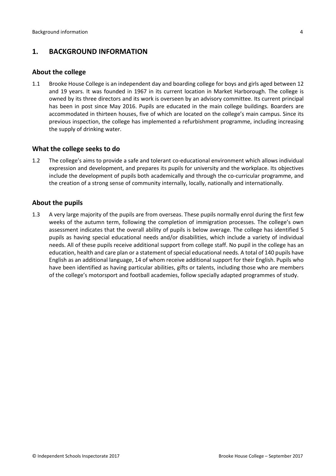## <span id="page-3-0"></span>**1. BACKGROUND INFORMATION**

#### <span id="page-3-1"></span>**About the college**

1.1 Brooke House College is an independent day and boarding college for boys and girls aged between 12 and 19 years. It was founded in 1967 in its current location in Market Harborough. The college is owned by its three directors and its work is overseen by an advisory committee. Its current principal has been in post since May 2016. Pupils are educated in the main college buildings. Boarders are accommodated in thirteen houses, five of which are located on the college's main campus. Since its previous inspection, the college has implemented a refurbishment programme, including increasing the supply of drinking water.

#### <span id="page-3-2"></span>**What the college seeks to do**

1.2 The college's aims to provide a safe and tolerant co-educational environment which allows individual expression and development, and prepares its pupils for university and the workplace. Its objectives include the development of pupils both academically and through the co-curricular programme, and the creation of a strong sense of community internally, locally, nationally and internationally.

#### <span id="page-3-3"></span>**About the pupils**

1.3 A very large majority of the pupils are from overseas. These pupils normally enrol during the first few weeks of the autumn term, following the completion of immigration processes. The college's own assessment indicates that the overall ability of pupils is below average. The college has identified 5 pupils as having special educational needs and/or disabilities, which include a variety of individual needs. All of these pupils receive additional support from college staff. No pupil in the college has an education, health and care plan or a statement of special educational needs. A total of 140 pupils have English as an additional language, 14 of whom receive additional support for their English. Pupils who have been identified as having particular abilities, gifts or talents, including those who are members of the college's motorsport and football academies, follow specially adapted programmes of study.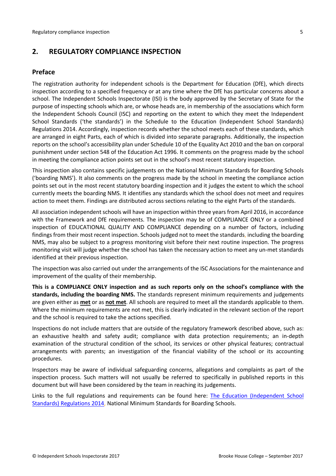## <span id="page-4-0"></span>**2. REGULATORY COMPLIANCE INSPECTION**

#### <span id="page-4-1"></span>**Preface**

The registration authority for independent schools is the Department for Education (DfE), which directs inspection according to a specified frequency or at any time where the DfE has particular concerns about a school. The Independent Schools Inspectorate (ISI) is the body approved by the Secretary of State for the purpose of inspecting schools which are, or whose heads are, in membership of the associations which form the Independent Schools Council (ISC) and reporting on the extent to which they meet the Independent School Standards ('the standards') in the Schedule to the Education (Independent School Standards) Regulations 2014. Accordingly, inspection records whether the school meets each of these standards, which are arranged in eight Parts, each of which is divided into separate paragraphs. Additionally, the inspection reports on the school's accessibility plan under Schedule 10 of the Equality Act 2010 and the ban on corporal punishment under section 548 of the Education Act 1996. It comments on the progress made by the school in meeting the compliance action points set out in the school's most recent statutory inspection.

This inspection also contains specific judgements on the National Minimum Standards for Boarding Schools ('boarding NMS'). It also comments on the progress made by the school in meeting the compliance action points set out in the most recent statutory boarding inspection and it judges the extent to which the school currently meets the boarding NMS. It identifies any standards which the school does not meet and requires action to meet them. Findings are distributed across sections relating to the eight Parts of the standards.

All association independent schools will have an inspection within three yearsfrom April 2016, in accordance with the Framework and DfE requirements. The inspection may be of COMPLIANCE ONLY or a combined inspection of EDUCATIONAL QUALITY AND COMPLIANCE depending on a number of factors, including findings from their most recent inspection. Schools judged not to meet the standards, including the boarding NMS, may also be subject to a progress monitoring visit before their next routine inspection. The progress monitoring visit will judge whether the school has taken the necessary action to meet any un-met standards identified at their previous inspection.

The inspection was also carried out under the arrangements of the ISC Associations for the maintenance and improvement of the quality of their membership.

**This is a COMPLIANCE ONLY inspection and as such reports only on the school's compliance with the standards, including the boarding NMS.** The standards represent minimum requirements and judgements are given either as **met** or as **not met**. All schools are required to meet all the standards applicable to them. Where the minimum requirements are not met, this is clearly indicated in the relevant section of the report and the school is required to take the actions specified.

Inspections do not include matters that are outside of the regulatory framework described above, such as: an exhaustive health and safety audit; compliance with data protection requirements; an in-depth examination of the structural condition of the school, its services or other physical features; contractual arrangements with parents; an investigation of the financial viability of the school or its accounting procedures.

Inspectors may be aware of individual safeguarding concerns, allegations and complaints as part of the inspection process. Such matters will not usually be referred to specifically in published reports in this document but will have been considered by the team in reaching its judgements.

Links to the full regulations and requirements can be found here: The Education [\(Independent](http://www.legislation.gov.uk/uksi/2014/3283/contents/made) School Standards) [Regulations](http://www.legislation.gov.uk/uksi/2014/3283/contents/made) 2014, National Minimum [Standards](https://www.gov.uk/government/uploads/system/uploads/attachment_data/file/416186/20150319_nms_bs_standards.pdf) for Boarding Schools.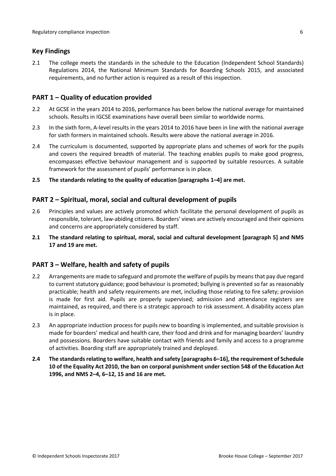#### <span id="page-5-0"></span>**Key Findings**

2.1 The college meets the standards in the schedule to the Education (Independent School Standards) Regulations 2014, the National Minimum Standards for Boarding Schools 2015, and associated requirements, and no further action is required as a result of this inspection.

#### <span id="page-5-1"></span>**PART 1 – Quality of education provided**

- 2.2 At GCSE in the years 2014 to 2016, performance has been below the national average for maintained schools. Results in IGCSE examinations have overall been similar to worldwide norms.
- 2.3 In the sixth form, A-level results in the years 2014 to 2016 have been in line with the national average for sixth formers in maintained schools. Results were above the national average in 2016.
- 2.4 The curriculum is documented, supported by appropriate plans and schemes of work for the pupils and covers the required breadth of material. The teaching enables pupils to make good progress, encompasses effective behaviour management and is supported by suitable resources. A suitable framework for the assessment of pupils' performance is in place.
- **2.5 The standards relating to the quality of education [paragraphs 1–4] are met.**

#### <span id="page-5-2"></span>**PART 2 – Spiritual, moral, social and cultural development of pupils**

- 2.6 Principles and values are actively promoted which facilitate the personal development of pupils as responsible, tolerant, law-abiding citizens. Boarders' views are actively encouraged and their opinions and concerns are appropriately considered by staff.
- **2.1 The standard relating to spiritual, moral, social and cultural development [paragraph 5] and NMS 17 and 19 are met.**

## <span id="page-5-3"></span>**PART 3 – Welfare, health and safety of pupils**

- 2.2 Arrangements are made to safeguard and promote the welfare of pupils by means that pay due regard to current statutory guidance; good behaviour is promoted; bullying is prevented so far as reasonably practicable; health and safety requirements are met, including those relating to fire safety; provision is made for first aid. Pupils are properly supervised; admission and attendance registers are maintained, as required, and there is a strategic approach to risk assessment. A disability access plan is in place.
- 2.3 An appropriate induction process for pupils new to boarding is implemented, and suitable provision is made for boarders' medical and health care, their food and drink and for managing boarders' laundry and possessions. Boarders have suitable contact with friends and family and access to a programme of activities. Boarding staff are appropriately trained and deployed.
- **2.4 The standardsrelating to welfare, health and safety [paragraphs 6–16], the requirement of Schedule 10 of the Equality Act 2010, the ban on corporal punishment under section 548 of the Education Act 1996, and NMS 2–4, 6–12, 15 and 16 are met.**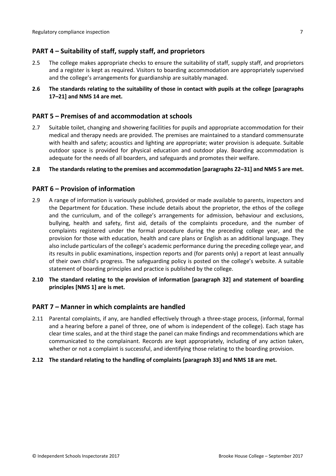## <span id="page-6-0"></span>**PART 4 – Suitability of staff, supply staff, and proprietors**

- 2.5 The college makes appropriate checks to ensure the suitability of staff, supply staff, and proprietors and a register is kept as required. Visitors to boarding accommodation are appropriately supervised and the college's arrangements for guardianship are suitably managed.
- **2.6 The standards relating to the suitability of those in contact with pupils at the college [paragraphs 17–21] and NMS 14 are met.**

#### <span id="page-6-1"></span>**PART 5 – Premises of and accommodation at schools**

- 2.7 Suitable toilet, changing and showering facilities for pupils and appropriate accommodation for their medical and therapy needs are provided. The premises are maintained to a standard commensurate with health and safety; acoustics and lighting are appropriate; water provision is adequate. Suitable outdoor space is provided for physical education and outdoor play. Boarding accommodation is adequate for the needs of all boarders, and safeguards and promotes their welfare.
- **2.8 The standardsrelating to the premises and accommodation [paragraphs 22–31] and NMS 5 are met.**

#### <span id="page-6-2"></span>**PART 6 – Provision of information**

- 2.9 A range of information is variously published, provided or made available to parents, inspectors and the Department for Education. These include details about the proprietor, the ethos of the college and the curriculum, and of the college's arrangements for admission, behaviour and exclusions, bullying, health and safety, first aid, details of the complaints procedure, and the number of complaints registered under the formal procedure during the preceding college year, and the provision for those with education, health and care plans or English as an additional language. They also include particulars of the college's academic performance during the preceding college year, and its results in public examinations, inspection reports and (for parents only) a report at least annually of their own child's progress. The safeguarding policy is posted on the college's website. A suitable statement of boarding principles and practice is published by the college.
- **2.10 The standard relating to the provision of information [paragraph 32] and statement of boarding principles [NMS 1] are is met.**

#### <span id="page-6-3"></span>**PART 7 – Manner in which complaints are handled**

2.11 Parental complaints, if any, are handled effectively through a three-stage process, (informal, formal and a hearing before a panel of three, one of whom is independent of the college). Each stage has clear time scales, and at the third stage the panel can make findings and recommendations which are communicated to the complainant. Records are kept appropriately, including of any action taken, whether or not a complaint is successful, and identifying those relating to the boarding provision.

#### **2.12 The standard relating to the handling of complaints [paragraph 33] and NMS 18 are met.**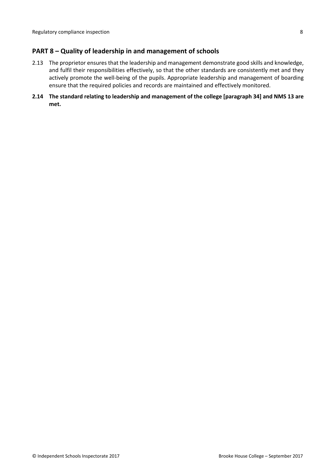### <span id="page-7-0"></span>**PART 8 – Quality of leadership in and management of schools**

- 2.13 The proprietor ensures that the leadership and management demonstrate good skills and knowledge, and fulfil their responsibilities effectively, so that the other standards are consistently met and they actively promote the well-being of the pupils. Appropriate leadership and management of boarding ensure that the required policies and records are maintained and effectively monitored.
- **2.14 The standard relating to leadership and management of the college [paragraph 34] and NMS 13 are met.**